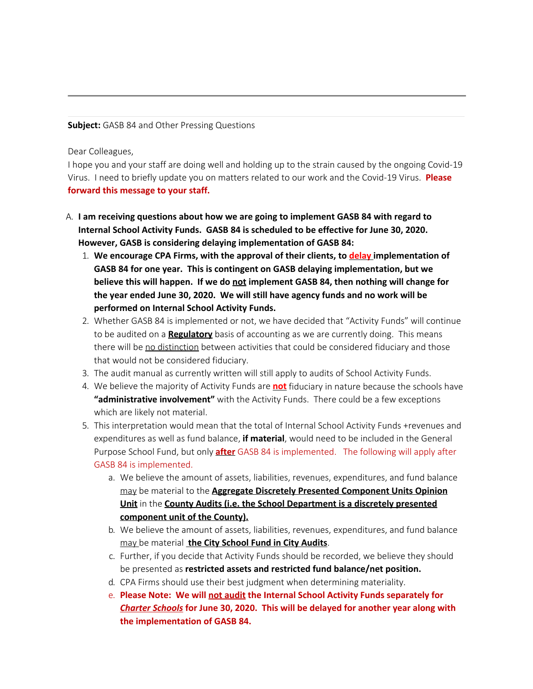## **Subject:** GASB 84 and Other Pressing Questions

Dear Colleagues,

I hope you and your staff are doing well and holding up to the strain caused by the ongoing Covid-19 Virus. I need to briefly update you on matters related to our work and the Covid-19 Virus. **Please forward this message to your staff.**

- A. **I am receiving questions about how we are going to implement GASB 84 with regard to Internal School Activity Funds. GASB 84 is scheduled to be effective for June 30, 2020. However, GASB is considering delaying implementation of GASB 84:**
	- 1. **We encourage CPA Firms, with the approval of their clients, to delay implementation of GASB 84 for one year. This is contingent on GASB delaying implementation, but we** believe this will happen. If we do not implement GASB 84, then nothing will change for **the year ended June 30, 2020. We will still have agency funds and no work will be performed on Internal School Activity Funds.**
	- 2. Whether GASB 84 is implemented or not, we have decided that "Activity Funds" will continue to be audited on a **Regulatory** basis of accounting as we are currently doing. This means there will be no distinction between activities that could be considered fiduciary and those that would not be considered fiduciary.
	- 3. The audit manual as currently written will still apply to audits of School Activity Funds.
	- 4. We believe the majority of Activity Funds are **not** fiduciary in nature because the schools have **"administrative involvement"** with the Activity Funds. There could be a few exceptions which are likely not material.
	- 5. This interpretation would mean that the total of Internal School Activity Funds +revenues and expenditures as well as fund balance, **if material**, would need to be included in the General Purpose School Fund, but only **after** GASB 84 is implemented. The following will apply after GASB 84 is implemented.
		- a. We believe the amount of assets, liabilities, revenues, expenditures, and fund balance may be material to the **Aggregate Discretely Presented Component Units Opinion Unit** in the **County Audits (i.e. the School Department is a discretely presented component unit of the County).**
		- b. We believe the amount of assets, liabilities, revenues, expenditures, and fund balance may be material **the City School Fund in City Audits**.
		- c. Further, if you decide that Activity Funds should be recorded, we believe they should be presented as **restricted assets and restricted fund balance/net position.**
		- d. CPA Firms should use their best judgment when determining materiality.
		- e. **Please Note: We will not audit the Internal School Activity Funds separately for** *Charter Schools* **for June 30, 2020. This will be delayed for another year along with the implementation of GASB 84.**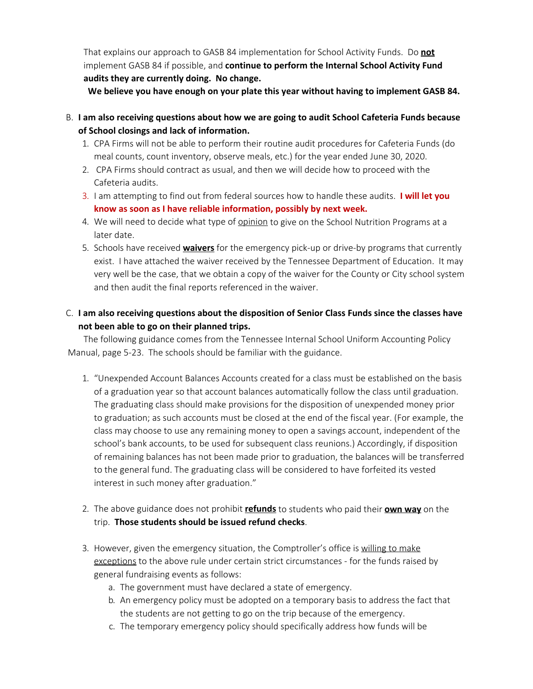That explains our approach to GASB 84 implementation for School Activity Funds. Do **not** implement GASB 84 if possible, and **continue to perform the Internal School Activity Fund audits they are currently doing. No change.**

 **We believe you have enough on your plate this year without having to implement GASB 84.**

- B. **I am also receiving questions about how we are going to audit School Cafeteria Funds because of School closings and lack of information.**
	- 1. CPA Firms will not be able to perform their routine audit procedures for Cafeteria Funds (do meal counts, count inventory, observe meals, etc.) for the year ended June 30, 2020.
	- 2. CPA Firms should contract as usual, and then we will decide how to proceed with the Cafeteria audits.
	- 3. I am attempting to find out from federal sources how to handle these audits. **I will let you know as soon as I have reliable information, possibly by next week.**
	- 4. We will need to decide what type of opinion to give on the School Nutrition Programs at a later date.
	- 5. Schools have received **waivers** for the emergency pick-up or drive-by programs that currently exist. I have attached the waiver received by the Tennessee Department of Education. It may very well be the case, that we obtain a copy of the waiver for the County or City school system and then audit the final reports referenced in the waiver.

## C. **I am also receiving questions about the disposition of Senior Class Funds since the classes have not been able to go on their planned trips.**

The following guidance comes from the Tennessee Internal School Uniform Accounting Policy Manual, page 5-23. The schools should be familiar with the guidance.

- 1. "Unexpended Account Balances Accounts created for a class must be established on the basis of a graduation year so that account balances automatically follow the class until graduation. The graduating class should make provisions for the disposition of unexpended money prior to graduation; as such accounts must be closed at the end of the fiscal year. (For example, the class may choose to use any remaining money to open a savings account, independent of the school's bank accounts, to be used for subsequent class reunions.) Accordingly, if disposition of remaining balances has not been made prior to graduation, the balances will be transferred to the general fund. The graduating class will be considered to have forfeited its vested interest in such money after graduation."
- 2. The above guidance does not prohibit **refunds** to students who paid their **own way** on the trip. **Those students should be issued refund checks**.
- 3. However, given the emergency situation, the Comptroller's office is willing to make exceptions to the above rule under certain strict circumstances - for the funds raised by general fundraising events as follows:
	- a. The government must have declared a state of emergency.
	- b. An emergency policy must be adopted on a temporary basis to address the fact that the students are not getting to go on the trip because of the emergency.
	- c. The temporary emergency policy should specifically address how funds will be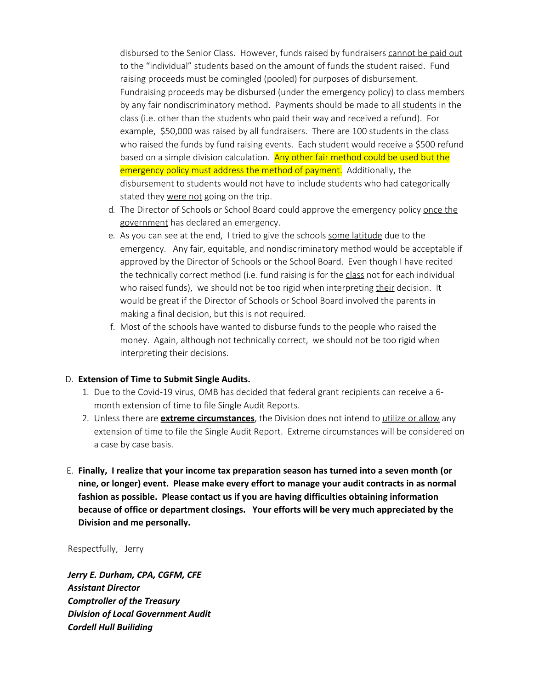disbursed to the Senior Class. However, funds raised by fundraisers cannot be paid out to the "individual" students based on the amount of funds the student raised. Fund raising proceeds must be comingled (pooled) for purposes of disbursement. Fundraising proceeds may be disbursed (under the emergency policy) to class members by any fair nondiscriminatory method. Payments should be made to all students in the class (i.e. other than the students who paid their way and received a refund). For example, \$50,000 was raised by all fundraisers. There are 100 students in the class who raised the funds by fund raising events. Each student would receive a \$500 refund based on a simple division calculation. Any other fair method could be used but the emergency policy must address the method of payment. Additionally, the disbursement to students would not have to include students who had categorically stated they were not going on the trip.

- d. The Director of Schools or School Board could approve the emergency policy once the government has declared an emergency.
- e. As you can see at the end, I tried to give the schools some latitude due to the emergency. Any fair, equitable, and nondiscriminatory method would be acceptable if approved by the Director of Schools or the School Board. Even though I have recited the technically correct method (i.e. fund raising is for the class not for each individual who raised funds), we should not be too rigid when interpreting their decision. It would be great if the Director of Schools or School Board involved the parents in making a final decision, but this is not required.
- f. Most of the schools have wanted to disburse funds to the people who raised the money. Again, although not technically correct, we should not be too rigid when interpreting their decisions.

## D. **Extension of Time to Submit Single Audits.**

- 1. Due to the Covid-19 virus, OMB has decided that federal grant recipients can receive a 6 month extension of time to file Single Audit Reports.
- 2. Unless there are **extreme circumstances**, the Division does not intend to utilize or allow any extension of time to file the Single Audit Report. Extreme circumstances will be considered on a case by case basis.
- E. **Finally, I realize that your income tax preparation season has turned into a seven month (or nine, or longer) event. Please make every effort to manage your audit contracts in as normal fashion as possible. Please contact us if you are having difficulties obtaining information because of office or department closings. Your efforts will be very much appreciated by the Division and me personally.**

## Respectfully, Jerry

*Jerry E. Durham, CPA, CGFM, CFE Assistant Director Comptroller of the Treasury Division of Local Government Audit Cordell Hull Builiding*